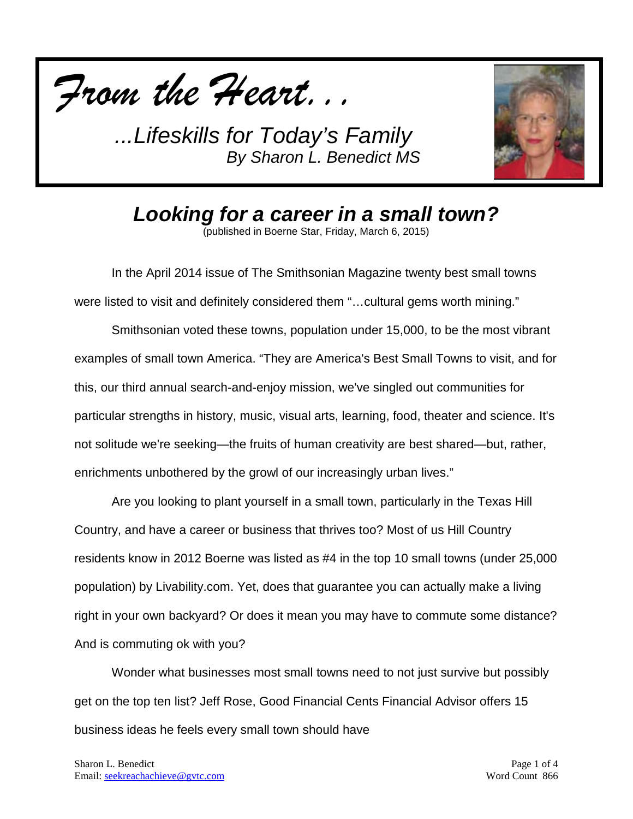



*Looking for a career in a small town?*

(published in Boerne Star, Friday, March 6, 2015)

In the April 2014 issue of The Smithsonian Magazine twenty best small towns were listed to visit and definitely considered them "... cultural gems worth mining."

Smithsonian voted these towns, population under 15,000, to be the most vibrant examples of small town America. "They are America's Best Small Towns to visit, and for this, our third annual search-and-enjoy mission, we've singled out communities for particular strengths in history, music, visual arts, learning, food, theater and science. It's not solitude we're seeking—the fruits of human creativity are best shared—but, rather, enrichments unbothered by the growl of our increasingly urban lives."

Are you looking to plant yourself in a small town, particularly in the Texas Hill Country, and have a career or business that thrives too? Most of us Hill Country residents know in 2012 Boerne was listed as #4 in the top 10 small towns (under 25,000 population) by Livability.com. Yet, does that guarantee you can actually make a living right in your own backyard? Or does it mean you may have to commute some distance? And is commuting ok with you?

Wonder what businesses most small towns need to not just survive but possibly get on the top ten list? Jeff Rose, Good Financial Cents Financial Advisor offers 15 business ideas he feels every small town should have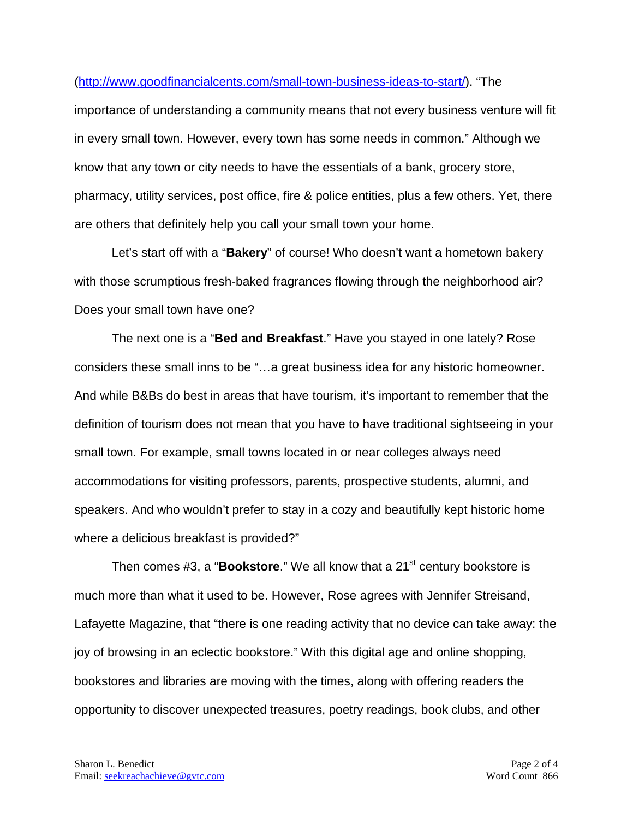## [\(http://www.goodfinancialcents.com/small-town-business-ideas-to-start/\)](http://www.goodfinancialcents.com/small-town-business-ideas-to-start/). "The

importance of understanding a community means that not every business venture will fit in every small town. However, every town has some needs in common." Although we know that any town or city needs to have the essentials of a bank, grocery store, pharmacy, utility services, post office, fire & police entities, plus a few others. Yet, there are others that definitely help you call your small town your home.

Let's start off with a "**Bakery**" of course! Who doesn't want a hometown bakery with those scrumptious fresh-baked fragrances flowing through the neighborhood air? Does your small town have one?

The next one is a "**Bed and Breakfast**." Have you stayed in one lately? Rose considers these small inns to be "…a great business idea for any historic homeowner. And while B&Bs do best in areas that have tourism, it's important to remember that the definition of tourism does not mean that you have to have traditional sightseeing in your small town. For example, small towns located in or near colleges always need accommodations for visiting professors, parents, prospective students, alumni, and speakers. And who wouldn't prefer to stay in a cozy and beautifully kept historic home where a delicious breakfast is provided?"

Then comes #3, a "**Bookstore**." We all know that a 21<sup>st</sup> century bookstore is much more than what it used to be. However, Rose agrees with Jennifer Streisand, Lafayette Magazine, that "there is one reading activity that no device can take away: the joy of browsing in an eclectic bookstore." With this digital age and online shopping, bookstores and libraries are moving with the times, along with offering readers the opportunity to discover unexpected treasures, poetry readings, book clubs, and other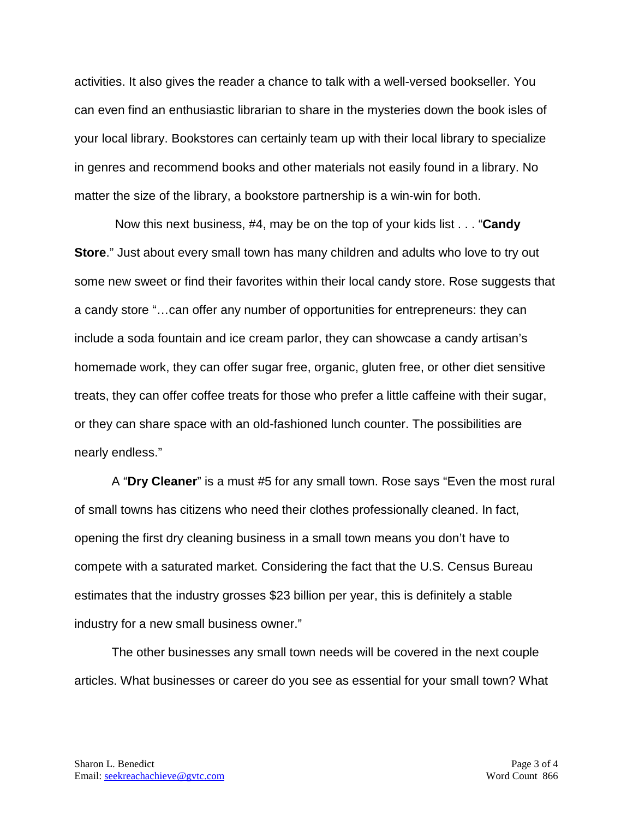activities. It also gives the reader a chance to talk with a well-versed bookseller. You can even find an enthusiastic librarian to share in the mysteries down the book isles of your local library. Bookstores can certainly team up with their local library to specialize in genres and recommend books and other materials not easily found in a library. No matter the size of the library, a bookstore partnership is a win-win for both.

Now this next business, #4, may be on the top of your kids list . . . "**Candy Store**." Just about every small town has many children and adults who love to try out some new sweet or find their favorites within their local candy store. Rose suggests that a candy store "…can offer any number of opportunities for entrepreneurs: they can include a soda fountain and ice cream parlor, they can showcase a candy artisan's homemade work, they can offer sugar free, organic, gluten free, or other diet sensitive treats, they can offer coffee treats for those who prefer a little caffeine with their sugar, or they can share space with an old-fashioned lunch counter. The possibilities are nearly endless."

A "**Dry Cleaner**" is a must #5 for any small town. Rose says "Even the most rural of small towns has citizens who need their clothes professionally cleaned. In fact, opening the first dry cleaning business in a small town means you don't have to compete with a saturated market. Considering the fact that the U.S. Census Bureau estimates that the industry grosses \$23 billion per year, this is definitely a stable industry for a new small business owner."

The other businesses any small town needs will be covered in the next couple articles. What businesses or career do you see as essential for your small town? What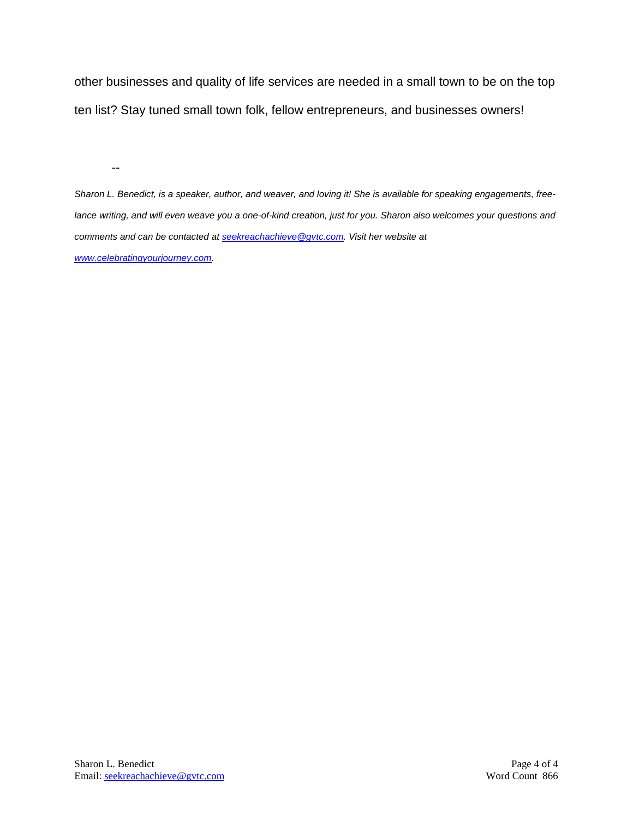other businesses and quality of life services are needed in a small town to be on the top ten list? Stay tuned small town folk, fellow entrepreneurs, and businesses owners!

--

*Sharon L. Benedict, is a speaker, author, and weaver, and loving it! She is available for speaking engagements, freelance writing, and will even weave you a one-of-kind creation, just for you. Sharon also welcomes your questions and comments and can be contacted a[t seekreachachieve@gvtc.com.](mailto:seekreachachieve@gvtc.com) Visit her website at [www.celebratingyourjourney.com.](http://www.celebratingyourjourney.com/)*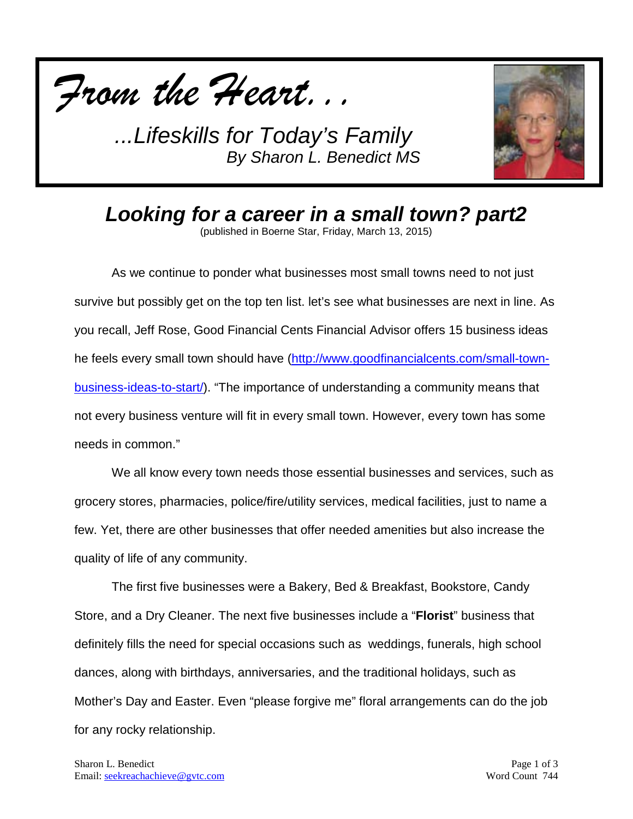



*Looking for a career in a small town? part2*

(published in Boerne Star, Friday, March 13, 2015)

As we continue to ponder what businesses most small towns need to not just survive but possibly get on the top ten list. let's see what businesses are next in line. As you recall, Jeff Rose, Good Financial Cents Financial Advisor offers 15 business ideas he feels every small town should have [\(http://www.goodfinancialcents.com/small-town](http://www.goodfinancialcents.com/small-town-business-ideas-to-start/)[business-ideas-to-start/\)](http://www.goodfinancialcents.com/small-town-business-ideas-to-start/). "The importance of understanding a community means that not every business venture will fit in every small town. However, every town has some needs in common."

We all know every town needs those essential businesses and services, such as grocery stores, pharmacies, police/fire/utility services, medical facilities, just to name a few. Yet, there are other businesses that offer needed amenities but also increase the quality of life of any community.

The first five businesses were a Bakery, Bed & Breakfast, Bookstore, Candy Store, and a Dry Cleaner. The next five businesses include a "**Florist**" business that definitely fills the need for special occasions such as weddings, funerals, high school dances, along with birthdays, anniversaries, and the traditional holidays, such as Mother's Day and Easter. Even "please forgive me" floral arrangements can do the job for any rocky relationship.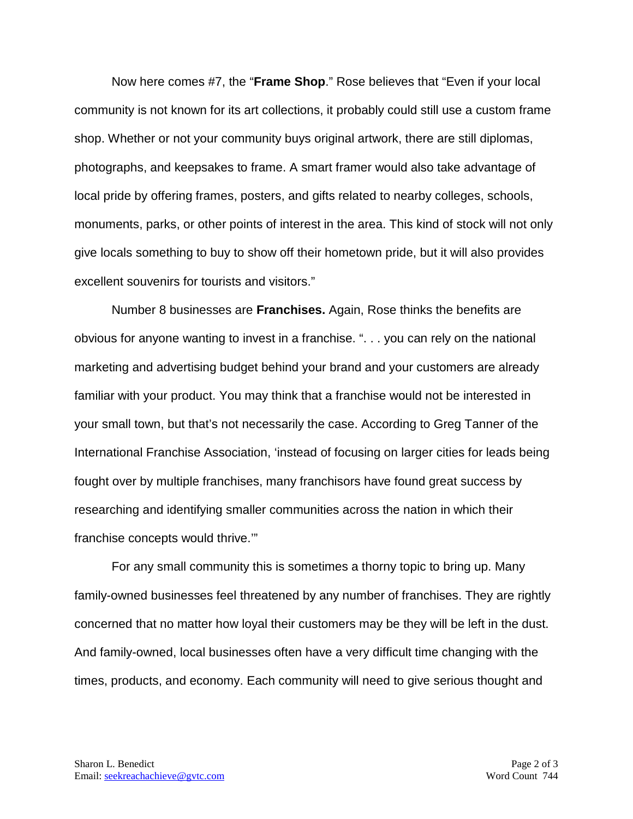Now here comes #7, the "**Frame Shop**." Rose believes that "Even if your local community is not known for its art collections, it probably could still use a custom frame shop. Whether or not your community buys original artwork, there are still diplomas, photographs, and keepsakes to frame. A smart framer would also take advantage of local pride by offering frames, posters, and gifts related to nearby colleges, schools, monuments, parks, or other points of interest in the area. This kind of stock will not only give locals something to buy to show off their hometown pride, but it will also provides excellent souvenirs for tourists and visitors."

Number 8 businesses are **Franchises.** Again, Rose thinks the benefits are obvious for anyone wanting to invest in a franchise. ". . . you can rely on the national marketing and advertising budget behind your brand and your customers are already familiar with your product. You may think that a franchise would not be interested in your small town, but that's not necessarily the case. According to Greg Tanner of the International Franchise Association, 'instead of focusing on larger cities for leads being fought over by multiple franchises, many franchisors have found great success by researching and identifying smaller communities across the nation in which their franchise concepts would thrive.'"

For any small community this is sometimes a thorny topic to bring up. Many family-owned businesses feel threatened by any number of franchises. They are rightly concerned that no matter how loyal their customers may be they will be left in the dust. And family-owned, local businesses often have a very difficult time changing with the times, products, and economy. Each community will need to give serious thought and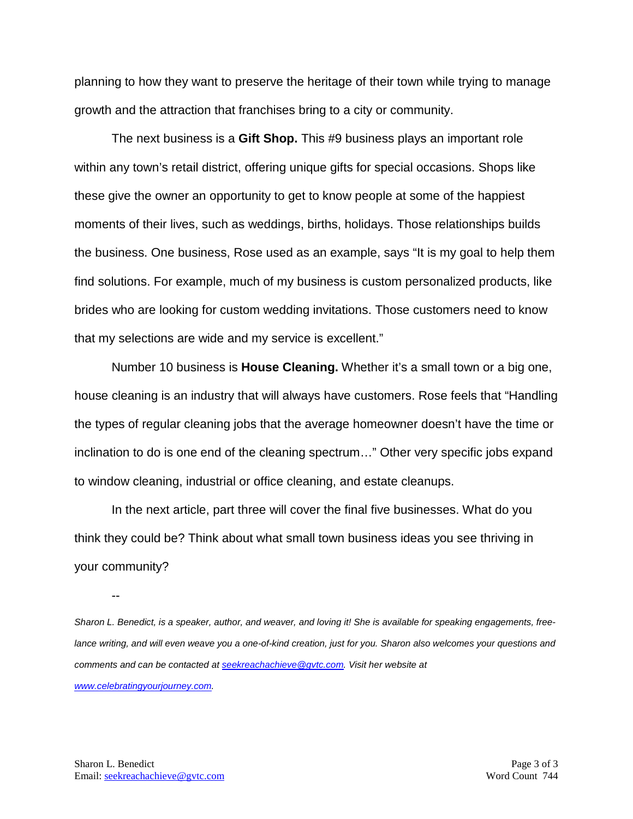planning to how they want to preserve the heritage of their town while trying to manage growth and the attraction that franchises bring to a city or community.

The next business is a **Gift Shop.** This #9 business plays an important role within any town's retail district, offering unique gifts for special occasions. Shops like these give the owner an opportunity to get to know people at some of the happiest moments of their lives, such as weddings, births, holidays. Those relationships builds the business. One business, Rose used as an example, says "It is my goal to help them find solutions. For example, much of my business is custom personalized products, like brides who are looking for custom wedding invitations. Those customers need to know that my selections are wide and my service is excellent."

Number 10 business is **House Cleaning.** Whether it's a small town or a big one, house cleaning is an industry that will always have customers. Rose feels that "Handling the types of regular cleaning jobs that the average homeowner doesn't have the time or inclination to do is one end of the cleaning spectrum…" Other very specific jobs expand to window cleaning, industrial or office cleaning, and estate cleanups.

In the next article, part three will cover the final five businesses. What do you think they could be? Think about what small town business ideas you see thriving in your community?

--

*Sharon L. Benedict, is a speaker, author, and weaver, and loving it! She is available for speaking engagements, free*lance writing, and will even weave you a one-of-kind creation, just for you. Sharon also welcomes your questions and *comments and can be contacted a[t seekreachachieve@gvtc.com.](mailto:seekreachachieve@gvtc.com) Visit her website at [www.celebratingyourjourney.com.](http://www.celebratingyourjourney.com/)*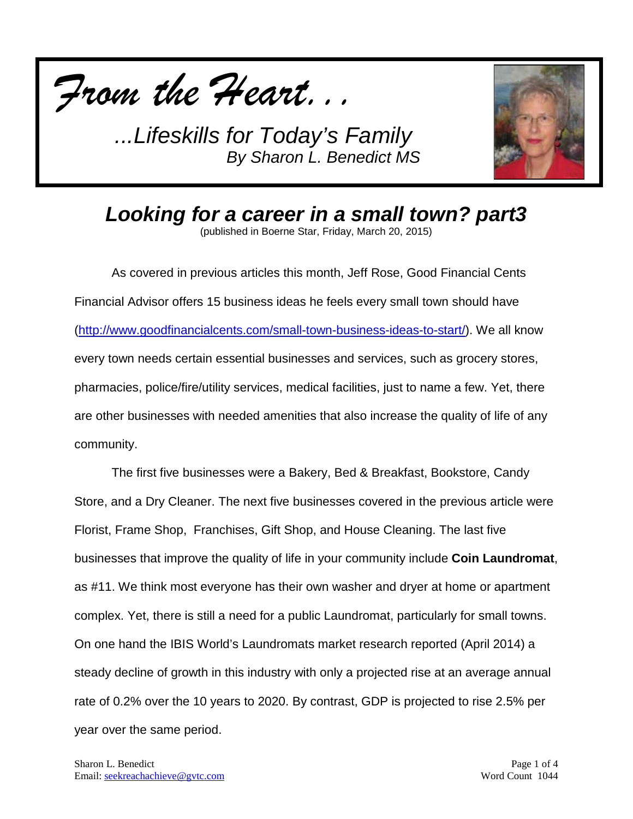



*Looking for a career in a small town? part3* (published in Boerne Star, Friday, March 20, 2015)

As covered in previous articles this month, Jeff Rose, Good Financial Cents Financial Advisor offers 15 business ideas he feels every small town should have [\(http://www.goodfinancialcents.com/small-town-business-ideas-to-start/\)](http://www.goodfinancialcents.com/small-town-business-ideas-to-start/). We all know every town needs certain essential businesses and services, such as grocery stores, pharmacies, police/fire/utility services, medical facilities, just to name a few. Yet, there are other businesses with needed amenities that also increase the quality of life of any community.

The first five businesses were a Bakery, Bed & Breakfast, Bookstore, Candy Store, and a Dry Cleaner. The next five businesses covered in the previous article were Florist, Frame Shop, Franchises, Gift Shop, and House Cleaning. The last five businesses that improve the quality of life in your community include **Coin Laundromat**, as #11. We think most everyone has their own washer and dryer at home or apartment complex. Yet, there is still a need for a public Laundromat, particularly for small towns. On one hand the IBIS World's Laundromats market research reported (April 2014) a steady decline of growth in this industry with only a projected rise at an average annual rate of 0.2% over the 10 years to 2020. By contrast, GDP is projected to rise 2.5% per year over the same period.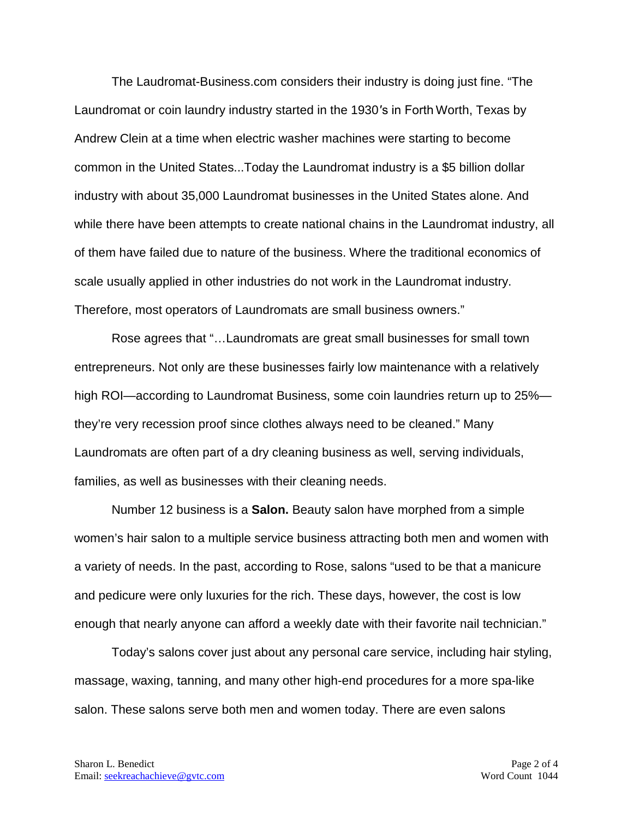The Laudromat-Business.com considers their industry is doing just fine. "The Laundromat or coin laundry industry started in the 1930′s in Forth Worth, Texas by Andrew Clein at a time when electric washer machines were starting to become common in the United States...Today the Laundromat industry is a \$5 billion dollar industry with about 35,000 Laundromat businesses in the United States alone. And while there have been attempts to create national chains in the Laundromat industry, all of them have failed due to nature of the business. Where the traditional economics of scale usually applied in other industries do not work in the Laundromat industry. Therefore, most operators of Laundromats are small business owners."

Rose agrees that "…Laundromats are great small businesses for small town entrepreneurs. Not only are these businesses fairly low maintenance with a relatively high ROI—according to Laundromat Business, some coin laundries return up to 25% they're very recession proof since clothes always need to be cleaned." Many Laundromats are often part of a dry cleaning business as well, serving individuals, families, as well as businesses with their cleaning needs.

Number 12 business is a **Salon.** Beauty salon have morphed from a simple women's hair salon to a multiple service business attracting both men and women with a variety of needs. In the past, according to Rose, salons "used to be that a manicure and pedicure were only luxuries for the rich. These days, however, the cost is low enough that nearly anyone can afford a weekly date with their favorite nail technician."

Today's salons cover just about any personal care service, including hair styling, massage, waxing, tanning, and many other high-end procedures for a more spa-like salon. These salons serve both men and women today. There are even salons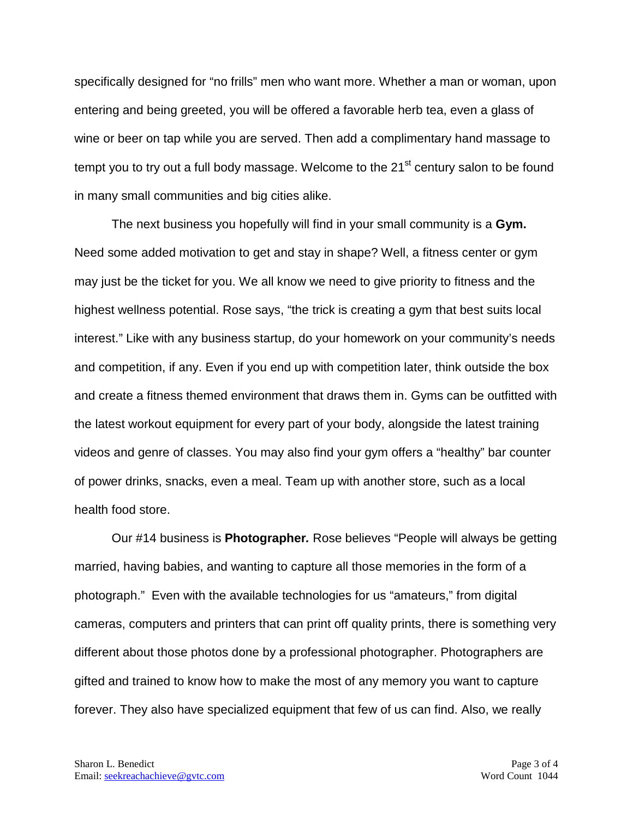specifically designed for "no frills" men who want more. Whether a man or woman, upon entering and being greeted, you will be offered a favorable herb tea, even a glass of wine or beer on tap while you are served. Then add a complimentary hand massage to tempt you to try out a full body massage. Welcome to the 21<sup>st</sup> century salon to be found in many small communities and big cities alike.

The next business you hopefully will find in your small community is a **Gym.**  Need some added motivation to get and stay in shape? Well, a fitness center or gym may just be the ticket for you. We all know we need to give priority to fitness and the highest wellness potential. Rose says, "the trick is creating a gym that best suits local interest." Like with any business startup, do your homework on your community's needs and competition, if any. Even if you end up with competition later, think outside the box and create a fitness themed environment that draws them in. Gyms can be outfitted with the latest workout equipment for every part of your body, alongside the latest training videos and genre of classes. You may also find your gym offers a "healthy" bar counter of power drinks, snacks, even a meal. Team up with another store, such as a local health food store.

Our #14 business is **Photographer***.* Rose believes "People will always be getting married, having babies, and wanting to capture all those memories in the form of a photograph." Even with the available technologies for us "amateurs," from digital cameras, computers and printers that can print off quality prints, there is something very different about those photos done by a professional photographer. Photographers are gifted and trained to know how to make the most of any memory you want to capture forever. They also have specialized equipment that few of us can find. Also, we really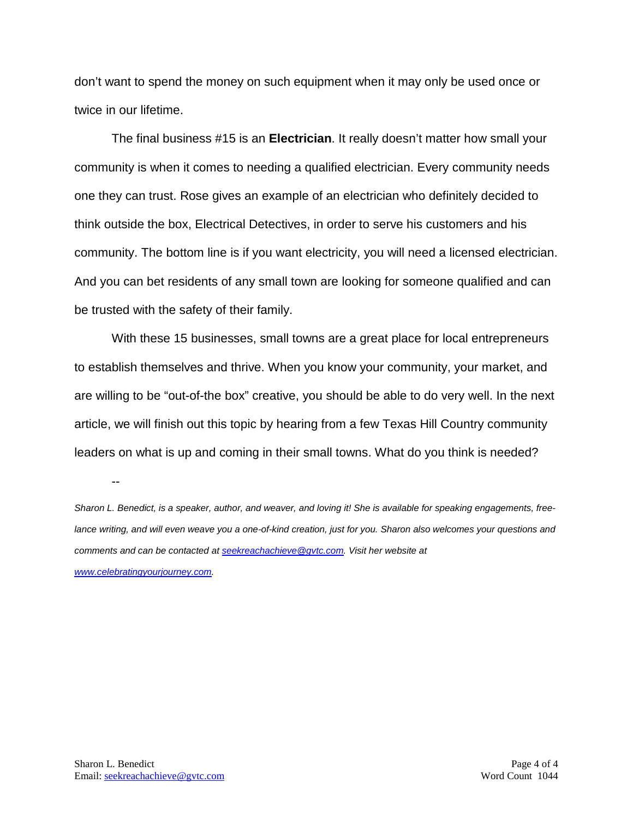don't want to spend the money on such equipment when it may only be used once or twice in our lifetime.

The final business #15 is an **Electrician**. It really doesn't matter how small your community is when it comes to needing a qualified electrician. Every community needs one they can trust. Rose gives an example of an electrician who definitely decided to think outside the box, Electrical Detectives, in order to serve his customers and his community. The bottom line is if you want electricity, you will need a licensed electrician. And you can bet residents of any small town are looking for someone qualified and can be trusted with the safety of their family.

With these 15 businesses, small towns are a great place for local entrepreneurs to establish themselves and thrive. When you know your community, your market, and are willing to be "out-of-the box" creative, you should be able to do very well. In the next article, we will finish out this topic by hearing from a few Texas Hill Country community leaders on what is up and coming in their small towns. What do you think is needed?

--

*Sharon L. Benedict, is a speaker, author, and weaver, and loving it! She is available for speaking engagements, free*lance writing, and will even weave you a one-of-kind creation, just for you. Sharon also welcomes your questions and *comments and can be contacted a[t seekreachachieve@gvtc.com.](mailto:seekreachachieve@gvtc.com) Visit her website at [www.celebratingyourjourney.com.](http://www.celebratingyourjourney.com/)*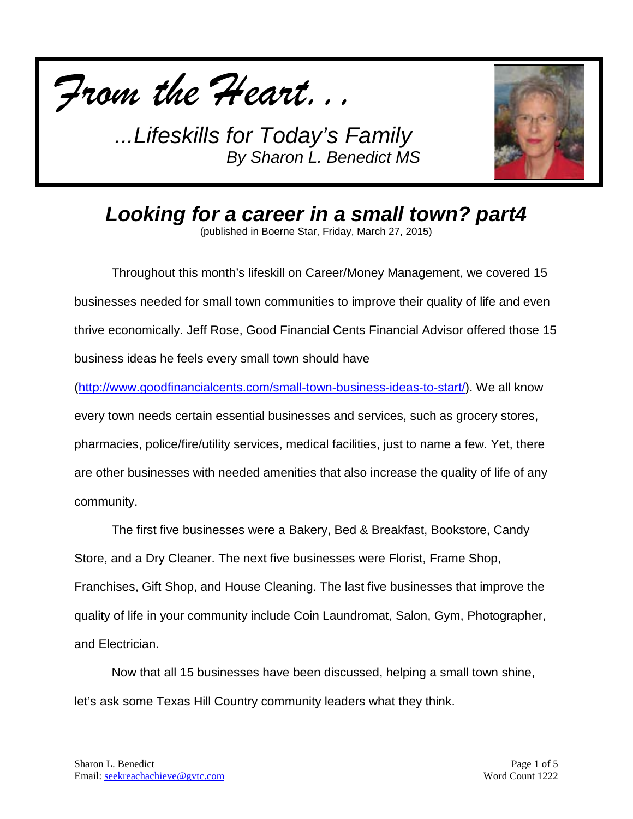



*Looking for a career in a small town? part4* (published in Boerne Star, Friday, March 27, 2015)

Throughout this month's lifeskill on Career/Money Management, we covered 15 businesses needed for small town communities to improve their quality of life and even thrive economically. Jeff Rose, Good Financial Cents Financial Advisor offered those 15 business ideas he feels every small town should have

[\(http://www.goodfinancialcents.com/small-town-business-ideas-to-start/\)](http://www.goodfinancialcents.com/small-town-business-ideas-to-start/). We all know every town needs certain essential businesses and services, such as grocery stores, pharmacies, police/fire/utility services, medical facilities, just to name a few. Yet, there are other businesses with needed amenities that also increase the quality of life of any community.

The first five businesses were a Bakery, Bed & Breakfast, Bookstore, Candy Store, and a Dry Cleaner. The next five businesses were Florist, Frame Shop, Franchises, Gift Shop, and House Cleaning. The last five businesses that improve the quality of life in your community include Coin Laundromat, Salon, Gym, Photographer, and Electrician.

Now that all 15 businesses have been discussed, helping a small town shine, let's ask some Texas Hill Country community leaders what they think.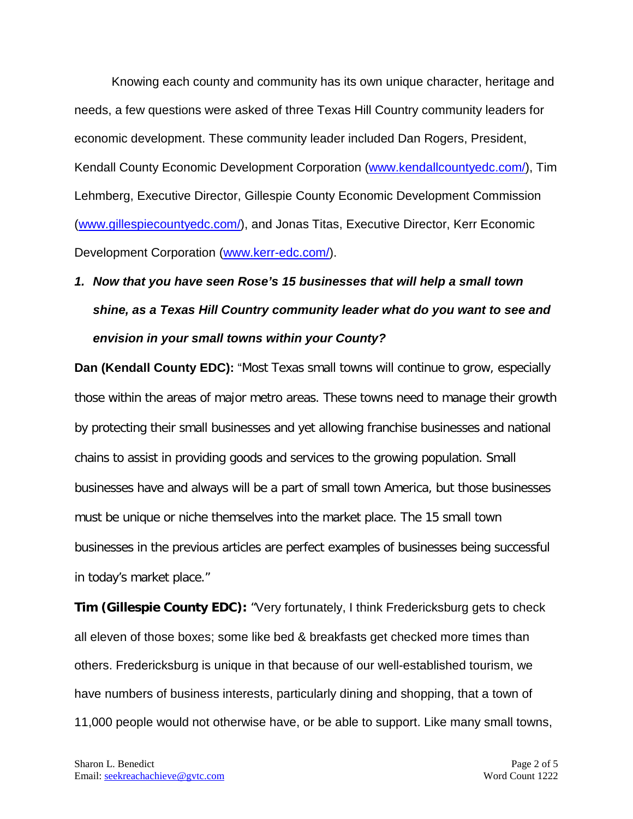Knowing each county and community has its own unique character, heritage and needs, a few questions were asked of three Texas Hill Country community leaders for economic development. These community leader included Dan Rogers, President, Kendall County Economic Development Corporation [\(www.kendallcountyedc.com/\)](http://www.kendallcountyedc.com/), Tim Lehmberg, Executive Director, Gillespie County Economic Development Commission [\(www.gillespiecountyedc.com/\)](http://www.gillespiecountyedc.com/), and Jonas Titas, Executive Director, Kerr Economic Development Corporation [\(www.kerr-edc.com/\)](http://www.kerr-edc.com/).

## *1. Now that you have seen Rose's 15 businesses that will help a small town shine, as a Texas Hill Country community leader what do you want to see and envision in your small towns within your County?*

**Dan (Kendall County EDC):** "Most Texas small towns will continue to grow, especially those within the areas of major metro areas. These towns need to manage their growth by protecting their small businesses and yet allowing franchise businesses and national chains to assist in providing goods and services to the growing population. Small businesses have and always will be a part of small town America, but those businesses must be unique or niche themselves into the market place. The 15 small town businesses in the previous articles are perfect examples of businesses being successful in today's market place."

**Tim (Gillespie County EDC):** "Very fortunately, I think Fredericksburg gets to check all eleven of those boxes; some like bed & breakfasts get checked more times than others. Fredericksburg is unique in that because of our well-established tourism, we have numbers of business interests, particularly dining and shopping, that a town of 11,000 people would not otherwise have, or be able to support. Like many small towns,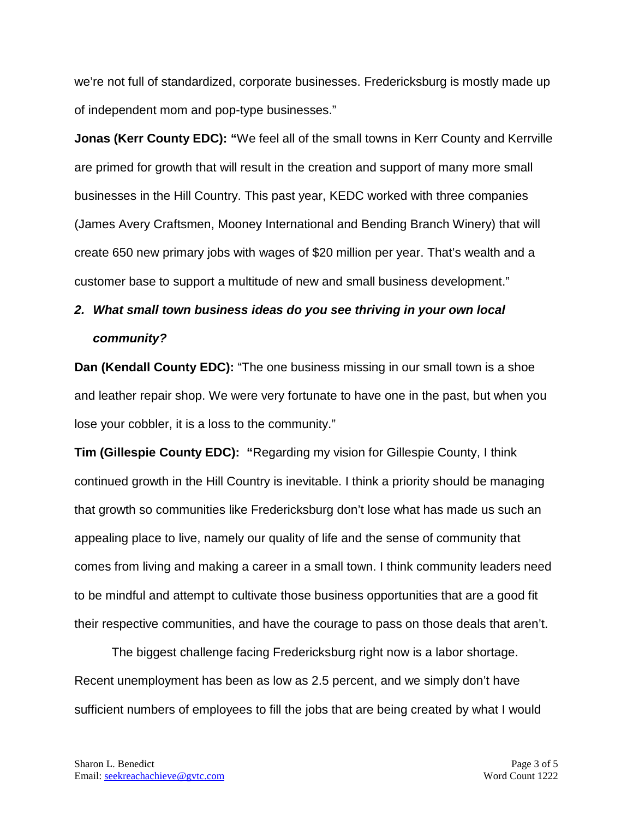we're not full of standardized, corporate businesses. Fredericksburg is mostly made up of independent mom and pop-type businesses."

**Jonas (Kerr County EDC): "**We feel all of the small towns in Kerr County and Kerrville are primed for growth that will result in the creation and support of many more small businesses in the Hill Country. This past year, KEDC worked with three companies (James Avery Craftsmen, Mooney International and Bending Branch Winery) that will create 650 new primary jobs with wages of \$20 million per year. That's wealth and a customer base to support a multitude of new and small business development."

## *2. What small town business ideas do you see thriving in your own local community?*

**Dan (Kendall County EDC):** "The one business missing in our small town is a shoe and leather repair shop. We were very fortunate to have one in the past, but when you lose your cobbler, it is a loss to the community."

**Tim (Gillespie County EDC): "**Regarding my vision for Gillespie County, I think continued growth in the Hill Country is inevitable. I think a priority should be managing that growth so communities like Fredericksburg don't lose what has made us such an appealing place to live, namely our quality of life and the sense of community that comes from living and making a career in a small town. I think community leaders need to be mindful and attempt to cultivate those business opportunities that are a good fit their respective communities, and have the courage to pass on those deals that aren't.

The biggest challenge facing Fredericksburg right now is a labor shortage. Recent unemployment has been as low as 2.5 percent, and we simply don't have sufficient numbers of employees to fill the jobs that are being created by what I would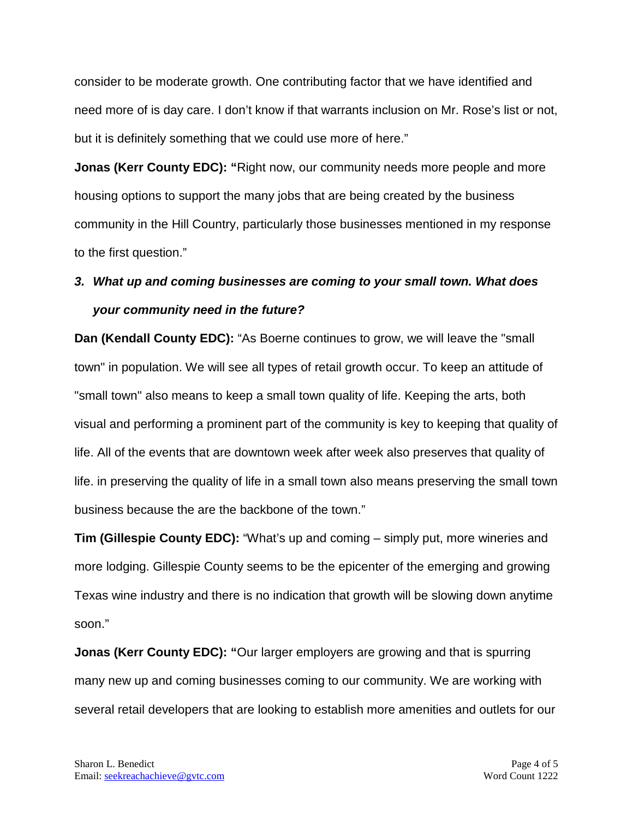consider to be moderate growth. One contributing factor that we have identified and need more of is day care. I don't know if that warrants inclusion on Mr. Rose's list or not, but it is definitely something that we could use more of here."

**Jonas (Kerr County EDC):** "Right now, our community needs more people and more housing options to support the many jobs that are being created by the business community in the Hill Country, particularly those businesses mentioned in my response to the first question."

## *3. What up and coming businesses are coming to your small town. What does your community need in the future?*

**Dan (Kendall County EDC):** "As Boerne continues to grow, we will leave the "small town" in population. We will see all types of retail growth occur. To keep an attitude of "small town" also means to keep a small town quality of life. Keeping the arts, both visual and performing a prominent part of the community is key to keeping that quality of life. All of the events that are downtown week after week also preserves that quality of life. in preserving the quality of life in a small town also means preserving the small town business because the are the backbone of the town."

**Tim (Gillespie County EDC):** "What's up and coming – simply put, more wineries and more lodging. Gillespie County seems to be the epicenter of the emerging and growing Texas wine industry and there is no indication that growth will be slowing down anytime soon."

**Jonas (Kerr County EDC):** "Our larger employers are growing and that is spurring many new up and coming businesses coming to our community. We are working with several retail developers that are looking to establish more amenities and outlets for our